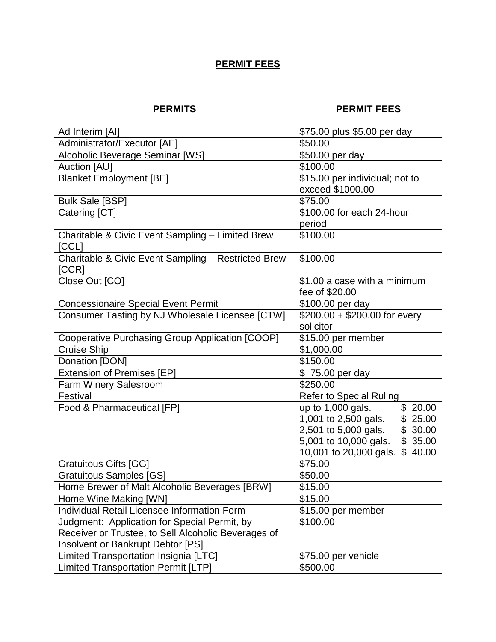## **PERMIT FEES**

| <b>PERMITS</b>                                               | <b>PERMIT FEES</b>              |
|--------------------------------------------------------------|---------------------------------|
| Ad Interim [AI]                                              | \$75.00 plus \$5.00 per day     |
| Administrator/Executor [AE]                                  | \$50.00                         |
| Alcoholic Beverage Seminar [WS]                              | \$50.00 per day                 |
| <b>Auction [AU]</b>                                          | \$100.00                        |
| <b>Blanket Employment [BE]</b>                               | \$15.00 per individual; not to  |
|                                                              | exceed \$1000.00                |
| <b>Bulk Sale [BSP]</b>                                       | \$75.00                         |
| Catering [CT]                                                | \$100.00 for each 24-hour       |
|                                                              | period                          |
| Charitable & Civic Event Sampling - Limited Brew<br>[CCL]    | \$100.00                        |
| Charitable & Civic Event Sampling - Restricted Brew<br>[CCR] | \$100.00                        |
| Close Out [CO]                                               | \$1.00 a case with a minimum    |
|                                                              | fee of \$20.00                  |
| <b>Concessionaire Special Event Permit</b>                   | \$100.00 per day                |
| Consumer Tasting by NJ Wholesale Licensee [CTW]              | $$200.00 + $200.00$ for every   |
|                                                              | solicitor                       |
| Cooperative Purchasing Group Application [COOP]              | \$15.00 per member              |
| <b>Cruise Ship</b>                                           | \$1,000.00                      |
| Donation [DON]                                               | \$150.00                        |
| <b>Extension of Premises [EP]</b>                            | \$75.00 per day                 |
| Farm Winery Salesroom                                        | \$250.00                        |
| Festival                                                     | <b>Refer to Special Ruling</b>  |
| Food & Pharmaceutical [FP]                                   | up to 1,000 gals.<br>\$20.00    |
|                                                              | 1,001 to 2,500 gals.<br>\$25.00 |
|                                                              | 2,501 to 5,000 gals.<br>\$30.00 |
|                                                              | 5,001 to 10,000 gals. \$35.00   |
|                                                              | 10,001 to 20,000 gals. \$40.00  |
| <b>Gratuitous Gifts [GG]</b>                                 | \$75.00                         |
| <b>Gratuitous Samples [GS]</b>                               | \$50.00                         |
| Home Brewer of Malt Alcoholic Beverages [BRW]                | \$15.00                         |
| Home Wine Making [WN]                                        | \$15.00                         |
| Individual Retail Licensee Information Form                  | \$15.00 per member              |
| Judgment: Application for Special Permit, by                 | \$100.00                        |
| Receiver or Trustee, to Sell Alcoholic Beverages of          |                                 |
| Insolvent or Bankrupt Debtor [PS]                            |                                 |
| Limited Transportation Insignia [LTC]                        | \$75.00 per vehicle             |
| <b>Limited Transportation Permit [LTP]</b>                   | \$500.00                        |